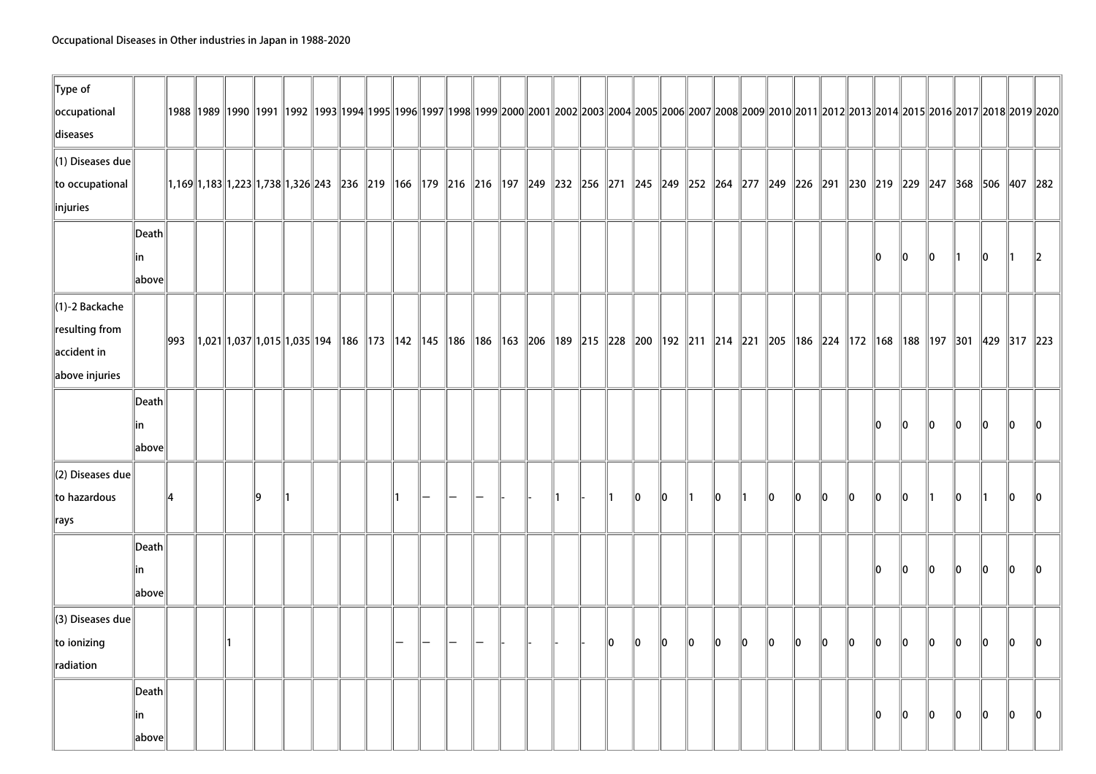| $\ $ Type of                 |       |     |  |    |                                                                                                                                                                                                           |  |  |  |  |  |    |    |     |    |                 |    |      |      |      |     |     |      |      |      |      |    |         |
|------------------------------|-------|-----|--|----|-----------------------------------------------------------------------------------------------------------------------------------------------------------------------------------------------------------|--|--|--|--|--|----|----|-----|----|-----------------|----|------|------|------|-----|-----|------|------|------|------|----|---------|
| occupational                 |       |     |  |    | 1988   1989   1990   1991   1992   1993  1994  1995  1996  1997  1998  1999  2000  2001  2002  2003  2004  2005  2006  2007  2008  2009  2010  2011  2012  2013  2014  2015  2016  2017  2018  2019  2020 |  |  |  |  |  |    |    |     |    |                 |    |      |      |      |     |     |      |      |      |      |    |         |
| diseases                     |       |     |  |    |                                                                                                                                                                                                           |  |  |  |  |  |    |    |     |    |                 |    |      |      |      |     |     |      |      |      |      |    |         |
| $\ $ (1) Diseases due        |       |     |  |    |                                                                                                                                                                                                           |  |  |  |  |  |    |    |     |    |                 |    |      |      |      |     |     |      |      |      |      |    |         |
| to occupational              |       |     |  |    | 1,169  1,183  1,223  1,738  1,326  243   236   219   166   179   216   210   219   249   232   256   271   245   249   252   264   277   249   250   279   249   229   247   368   506   407   282        |  |  |  |  |  |    |    |     |    |                 |    |      |      |      |     |     |      |      |      |      |    |         |
| $\ $ injuries                |       |     |  |    |                                                                                                                                                                                                           |  |  |  |  |  |    |    |     |    |                 |    |      |      |      |     |     |      |      |      |      |    |         |
|                              | Death |     |  |    |                                                                                                                                                                                                           |  |  |  |  |  |    |    |     |    |                 |    |      |      |      |     |     |      |      |      |      |    |         |
|                              | in    |     |  |    |                                                                                                                                                                                                           |  |  |  |  |  |    |    |     |    |                 |    |      |      |      |     | ۱O  | llo  | 10   | 11   | 10   | 11 | $\ 2\ $ |
|                              | above |     |  |    |                                                                                                                                                                                                           |  |  |  |  |  |    |    |     |    |                 |    |      |      |      |     |     |      |      |      |      |    |         |
| $\ $ (1)-2 Backache          |       |     |  |    |                                                                                                                                                                                                           |  |  |  |  |  |    |    |     |    |                 |    |      |      |      |     |     |      |      |      |      |    |         |
| resulting from               |       |     |  |    |                                                                                                                                                                                                           |  |  |  |  |  |    |    |     |    |                 |    |      |      |      |     |     |      |      |      |      |    |         |
| $\parallel$ accident in      |       | 993 |  |    | 1,021  1,037  1,015  1,035  194   186   173   142   145   186   186   186   163   206   189   215   228   200   192   214   221   224   225   186   224   172   168   188   197   301   429   317   223   |  |  |  |  |  |    |    |     |    |                 |    |      |      |      |     |     |      |      |      |      |    |         |
| $\ $ above injuries          |       |     |  |    |                                                                                                                                                                                                           |  |  |  |  |  |    |    |     |    |                 |    |      |      |      |     |     |      |      |      |      |    |         |
|                              | Death |     |  |    |                                                                                                                                                                                                           |  |  |  |  |  |    |    |     |    |                 |    |      |      |      |     |     |      |      |      |      |    |         |
|                              | ∣in   |     |  |    |                                                                                                                                                                                                           |  |  |  |  |  |    |    |     |    |                 |    |      |      |      |     | ۱n  | llo. | llo  | llo  | llo  | 10 |         |
|                              | above |     |  |    |                                                                                                                                                                                                           |  |  |  |  |  |    |    |     |    |                 |    |      |      |      |     |     |      |      |      |      |    |         |
| $\parallel$ (2) Diseases due |       |     |  |    |                                                                                                                                                                                                           |  |  |  |  |  |    |    |     |    |                 |    |      |      |      |     |     |      |      |      |      |    |         |
| to hazardous                 |       | 14  |  | ۱q |                                                                                                                                                                                                           |  |  |  |  |  |    | 10 | llo |    | $\mathsf{I}$ lo | ∥1 | llo. | 10   | llo. | 10  | llo | ۱O   | 11   | llo. |      | l0 |         |
|                              |       |     |  |    |                                                                                                                                                                                                           |  |  |  |  |  |    |    |     |    |                 |    |      |      |      |     |     |      |      |      |      |    |         |
| $\Vert$ rays                 |       |     |  |    |                                                                                                                                                                                                           |  |  |  |  |  |    |    |     |    |                 |    |      |      |      |     |     |      |      |      |      |    |         |
|                              | Death |     |  |    |                                                                                                                                                                                                           |  |  |  |  |  |    |    |     |    |                 |    |      |      |      |     |     |      |      |      |      |    |         |
|                              | ∣in   |     |  |    |                                                                                                                                                                                                           |  |  |  |  |  |    |    |     |    |                 |    |      |      |      |     | ۱n  | ۱o   | llo. | llo  | llo. | l0 |         |
|                              | above |     |  |    |                                                                                                                                                                                                           |  |  |  |  |  |    |    |     |    |                 |    |      |      |      |     |     |      |      |      |      |    |         |
| $\parallel$ (3) Diseases due |       |     |  |    |                                                                                                                                                                                                           |  |  |  |  |  |    |    |     |    |                 |    |      |      |      |     |     |      |      |      |      |    |         |
| to ionizing                  |       |     |  |    |                                                                                                                                                                                                           |  |  |  |  |  | 10 | 10 | 10  | 10 | llo.            | 10 | 10   | llo. | llo. | llo | llo | 10   | llo. | llo. | llo. | l0 | IO.     |
| radiation                    |       |     |  |    |                                                                                                                                                                                                           |  |  |  |  |  |    |    |     |    |                 |    |      |      |      |     |     |      |      |      |      |    |         |
|                              | Death |     |  |    |                                                                                                                                                                                                           |  |  |  |  |  |    |    |     |    |                 |    |      |      |      |     |     |      |      |      |      |    |         |
|                              | ∣in   |     |  |    |                                                                                                                                                                                                           |  |  |  |  |  |    |    |     |    |                 |    |      |      |      |     | ın  | ۱n   | ll0  | ۱n   | l0   | l0 |         |
|                              | above |     |  |    |                                                                                                                                                                                                           |  |  |  |  |  |    |    |     |    |                 |    |      |      |      |     |     |      |      |      |      |    |         |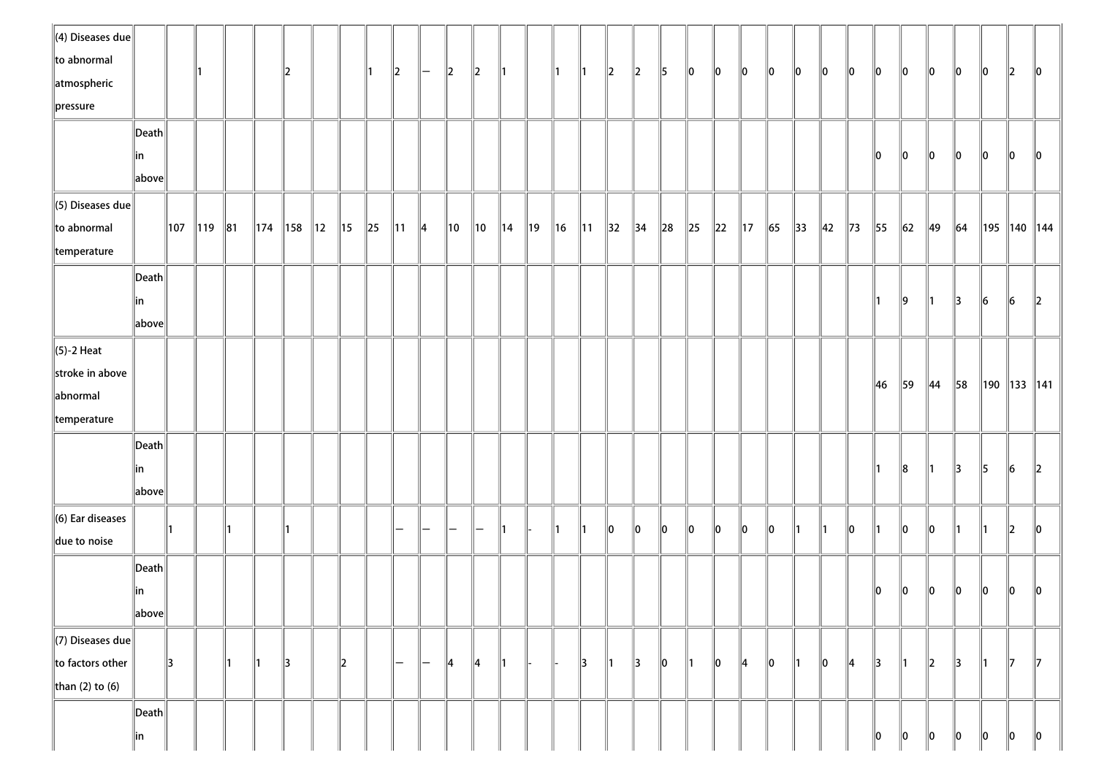| $\parallel$ (4) Diseases due |                                  |     |             |    |                 |     |                |                |          |                |               |                |    |                |     |     |            |                |                |        |          |          |                |            |                |                |                |                |               |                |               |               |                  |     |
|------------------------------|----------------------------------|-----|-------------|----|-----------------|-----|----------------|----------------|----------|----------------|---------------|----------------|----|----------------|-----|-----|------------|----------------|----------------|--------|----------|----------|----------------|------------|----------------|----------------|----------------|----------------|---------------|----------------|---------------|---------------|------------------|-----|
| to abnormal                  |                                  |     |             |    |                 |     |                |                |          |                |               |                |    |                |     |     |            |                |                |        |          |          |                |            |                |                |                |                |               |                |               |               |                  |     |
| atmospheric                  |                                  |     |             |    |                 | 12  |                |                |          | $\ 2\ $        | $-$           | 2              | 2  | ∥1             |     | 11. | ∥1         | $\parallel$ 2  | $\ 2\ $        | 5      | 10       | 10       | 10             | 10         | 10             | 10             | $\parallel$ 0  | $\parallel$ 0  | 10            | 10             | 10            | 10            | $\parallel$ 2    | 10  |
| pressure                     |                                  |     |             |    |                 |     |                |                |          |                |               |                |    |                |     |     |            |                |                |        |          |          |                |            |                |                |                |                |               |                |               |               |                  |     |
|                              | $\left\vert$ Death $\right\vert$ |     |             |    |                 |     |                |                |          |                |               |                |    |                |     |     |            |                |                |        |          |          |                |            |                |                |                |                |               |                |               |               |                  |     |
|                              | in                               |     |             |    |                 |     |                |                |          |                |               |                |    |                |     |     |            |                |                |        |          |          |                |            |                |                |                | 10             | 10            | $\ 0\ $        | 10            | 10            | 10               | ۱O  |
|                              | $\ $ above $\ $                  |     |             |    |                 |     |                |                |          |                |               |                |    |                |     |     |            |                |                |        |          |          |                |            |                |                |                |                |               |                |               |               |                  |     |
| $\ $ (5) Diseases due        |                                  |     |             |    |                 |     |                |                |          |                |               |                |    |                |     |     |            |                |                |        |          |          |                |            |                |                |                |                |               |                |               |               |                  |     |
| to abnormal                  |                                  | 107 | $\ 119\ 81$ |    | $\parallel$ 174 | 158 | $\parallel$ 12 | $\parallel$ 15 | $\ 25\ $ | $\parallel$ 11 | $\parallel$ 4 | $\parallel$ 10 | 10 | $\parallel$ 14 | ∥19 | 16  | $\vert$ 11 | $\parallel$ 32 | $\parallel$ 34 | $\ 28$ | $\ 25\ $ | $\ 22\ $ | $\parallel$ 17 | $\vert$ 65 | $\parallel$ 33 | $\parallel$ 42 | $\parallel$ 73 | $\parallel$ 55 | $\ 62\ $      | 49             | 64            |               | ∥195 ∥140 ∥144   |     |
| temperature                  |                                  |     |             |    |                 |     |                |                |          |                |               |                |    |                |     |     |            |                |                |        |          |          |                |            |                |                |                |                |               |                |               |               |                  |     |
|                              |                                  |     |             |    |                 |     |                |                |          |                |               |                |    |                |     |     |            |                |                |        |          |          |                |            |                |                |                |                |               |                |               |               |                  |     |
|                              | $\vert$ Death $\vert$            |     |             |    |                 |     |                |                |          |                |               |                |    |                |     |     |            |                |                |        |          |          |                |            |                |                |                |                |               |                |               |               |                  |     |
|                              | in                               |     |             |    |                 |     |                |                |          |                |               |                |    |                |     |     |            |                |                |        |          |          |                |            |                |                |                | ∥1             | $\ 9\ $       | $\parallel$ 1  | $\parallel$ 3 | $\vert$ 6     | $\ 6\ $          | 12  |
|                              | above                            |     |             |    |                 |     |                |                |          |                |               |                |    |                |     |     |            |                |                |        |          |          |                |            |                |                |                |                |               |                |               |               |                  |     |
| $\ $ (5)-2 Heat              |                                  |     |             |    |                 |     |                |                |          |                |               |                |    |                |     |     |            |                |                |        |          |          |                |            |                |                |                |                |               |                |               |               |                  |     |
| stroke in above              |                                  |     |             |    |                 |     |                |                |          |                |               |                |    |                |     |     |            |                |                |        |          |          |                |            |                |                |                | 46             | 59            | $\parallel$ 44 | 58            |               | ∥190 ∥133 ∥141 ∣ |     |
| abnormal                     |                                  |     |             |    |                 |     |                |                |          |                |               |                |    |                |     |     |            |                |                |        |          |          |                |            |                |                |                |                |               |                |               |               |                  |     |
| temperature                  |                                  |     |             |    |                 |     |                |                |          |                |               |                |    |                |     |     |            |                |                |        |          |          |                |            |                |                |                |                |               |                |               |               |                  |     |
|                              | $\vert$ Death $\vert$            |     |             |    |                 |     |                |                |          |                |               |                |    |                |     |     |            |                |                |        |          |          |                |            |                |                |                |                |               |                |               |               |                  |     |
|                              | in                               |     |             |    |                 |     |                |                |          |                |               |                |    |                |     |     |            |                |                |        |          |          |                |            |                |                |                | 11             | 8             | $\parallel$ 1  | $\parallel$ 3 | $\parallel$ 5 | 16               | 12  |
|                              | $Vert$ above $  $                |     |             |    |                 |     |                |                |          |                |               |                |    |                |     |     |            |                |                |        |          |          |                |            |                |                |                |                |               |                |               |               |                  |     |
| $\ $ (6) Ear diseases        |                                  |     |             |    |                 |     |                |                |          |                |               |                |    |                |     |     |            |                |                |        |          |          |                |            |                |                |                |                |               |                |               |               |                  |     |
| due to noise                 |                                  | 11  |             |    |                 |     |                |                |          | -              | -             |                |    | ∥1             |     |     | 11         | 10             | 10             | llo.   | 10       | 10       | 10             | 10         |                |                | 10             | 11             | 10            | llo.           |               |               | $\mathbb{I}2$    |     |
|                              | $\vert$ Death                    |     |             |    |                 |     |                |                |          |                |               |                |    |                |     |     |            |                |                |        |          |          |                |            |                |                |                |                |               |                |               |               |                  |     |
|                              |                                  |     |             |    |                 |     |                |                |          |                |               |                |    |                |     |     |            |                |                |        |          |          |                |            |                |                |                | $\ 0\ $        | $\ 0\ $       | $\ 0\ $        | $ 0\rangle$   | $\ 0\ $       | 10               | ll0 |
|                              | in<br>$\ $ above $\ $            |     |             |    |                 |     |                |                |          |                |               |                |    |                |     |     |            |                |                |        |          |          |                |            |                |                |                |                |               |                |               |               |                  |     |
|                              |                                  |     |             |    |                 |     |                |                |          |                |               |                |    |                |     |     |            |                |                |        |          |          |                |            |                |                |                |                |               |                |               |               |                  |     |
| $\ $ (7) Diseases due        |                                  |     |             |    |                 |     |                |                |          |                |               |                |    |                |     |     |            |                |                |        |          |          |                |            |                |                |                |                |               |                |               |               |                  |     |
| to factors other             |                                  | 13  |             | ∥1 | ∥1              | 13  |                | $\ 2\ $        |          | —              | $-$           | 14             | 14 | ∥1             |     |     | 13         | ∥1             | 13             | 10     | ∥1       | 10       | 14             | 10         |                | 110            | 14             | $\parallel$ 3  | $\parallel$ 1 | $\ 2\ $        | $\parallel$ 3 | $\parallel$ 1 | $\parallel$ 7    | 17  |
| than (2) to (6)              |                                  |     |             |    |                 |     |                |                |          |                |               |                |    |                |     |     |            |                |                |        |          |          |                |            |                |                |                |                |               |                |               |               |                  |     |
|                              | $\vert$ Death                    |     |             |    |                 |     |                |                |          |                |               |                |    |                |     |     |            |                |                |        |          |          |                |            |                |                |                |                |               |                |               |               |                  |     |
|                              | in                               |     |             |    |                 |     |                |                |          |                |               |                |    |                |     |     |            |                |                |        |          |          |                |            |                |                |                | 10             | 10            | $\parallel$ 0  | 10            | 10            | 10               | 10  |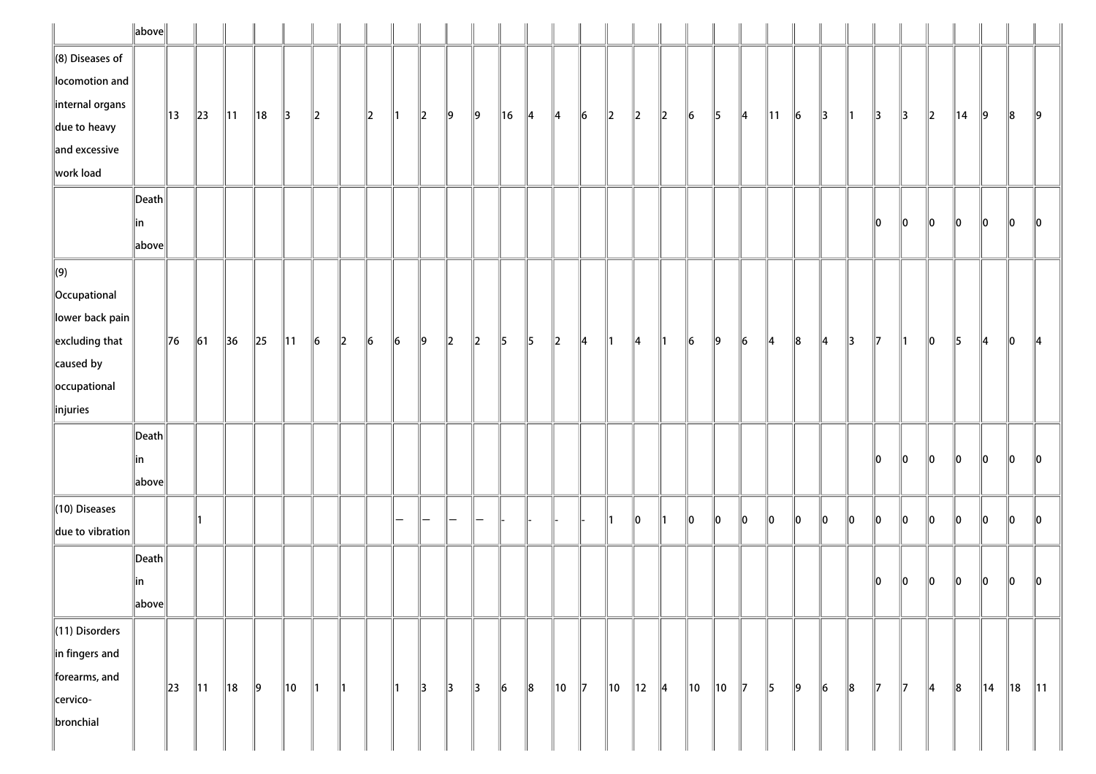|                          | $\ $ above $\ $                        |          |                |                |                |                |           |         |         |    |         |               |               |         |               |         |                |                |                |               |           |                |                |                |               |               |               |               |    |         |                |                |         |                |
|--------------------------|----------------------------------------|----------|----------------|----------------|----------------|----------------|-----------|---------|---------|----|---------|---------------|---------------|---------|---------------|---------|----------------|----------------|----------------|---------------|-----------|----------------|----------------|----------------|---------------|---------------|---------------|---------------|----|---------|----------------|----------------|---------|----------------|
| $\ $ (8) Diseases of     |                                        |          |                |                |                |                |           |         |         |    |         |               |               |         |               |         |                |                |                |               |           |                |                |                |               |               |               |               |    |         |                |                |         |                |
| locomotion and           |                                        |          |                |                |                |                |           |         |         |    |         |               |               |         |               |         |                |                |                |               |           |                |                |                |               |               |               |               |    |         |                |                |         |                |
| internal organs          |                                        | 13       | $\ 23\ $       | $\parallel$ 11 | $\parallel$ 18 | $\parallel$ 3  | $\vert$ 2 |         | $\ 2\ $ | ∥1 | $\ 2\ $ | $\parallel$ 9 | 9             | ∥16     | $\parallel$ 4 | 14      | $\vert$ 6      | $\ 2\ $        | $\parallel$ 2  | $\ 2\ $       | $\vert$ 6 | $\parallel$ 5  | $\parallel 4$  | $\parallel$ 11 | $\vert$ 6     | $\parallel$ 3 | $\parallel$ 1 | $\parallel$ 3 | 3  | $\ 2\ $ | $\parallel$ 14 | $\ 9\ $        | $\ 8$   | 19             |
| $\parallel$ due to heavy |                                        |          |                |                |                |                |           |         |         |    |         |               |               |         |               |         |                |                |                |               |           |                |                |                |               |               |               |               |    |         |                |                |         |                |
| and excessive            |                                        |          |                |                |                |                |           |         |         |    |         |               |               |         |               |         |                |                |                |               |           |                |                |                |               |               |               |               |    |         |                |                |         |                |
| work load                |                                        |          |                |                |                |                |           |         |         |    |         |               |               |         |               |         |                |                |                |               |           |                |                |                |               |               |               |               |    |         |                |                |         |                |
|                          | $\vert$ Death $\vert$                  |          |                |                |                |                |           |         |         |    |         |               |               |         |               |         |                |                |                |               |           |                |                |                |               |               |               |               |    |         |                |                |         |                |
|                          | ∥in                                    |          |                |                |                |                |           |         |         |    |         |               |               |         |               |         |                |                |                |               |           |                |                |                |               |               |               | 10            | 10 | $\ 0\ $ | $\ 0\ $        | $\ 0\ $        | $\ 0\ $ | $ 0\rangle$    |
|                          | $\ $ above $\ $                        |          |                |                |                |                |           |         |         |    |         |               |               |         |               |         |                |                |                |               |           |                |                |                |               |               |               |               |    |         |                |                |         |                |
| $\Vert$ (9)              |                                        |          |                |                |                |                |           |         |         |    |         |               |               |         |               |         |                |                |                |               |           |                |                |                |               |               |               |               |    |         |                |                |         |                |
| Occupational             |                                        |          |                |                |                |                |           |         |         |    |         |               |               |         |               |         |                |                |                |               |           |                |                |                |               |               |               |               |    |         |                |                |         |                |
| $\ $ lower back pain     |                                        |          |                |                |                |                |           |         |         |    |         |               |               |         |               |         |                |                |                |               |           |                |                |                |               |               |               |               |    |         |                |                |         |                |
| $\left\ $ excluding that |                                        | 76       | $\vert$ 61     | $\vert$ 36     | $\ 25\ $       | $\parallel$ 11 | $\vert$ 6 | $\ 2\ $ | 6       | 6  | ∥9      | $\ 2\ $       | $\ _2$        | 5       | 5             | $\ 2\ $ | 14             | 11             | 14             | 1             | 6         | $\ 9\ $        | $\vert\vert_6$ | $\parallel$ 4  | $\ 8$         | 14            | $\parallel$ 3 | 17            | ∥1 | 10      | 15             | $\parallel$ 4  | 10      | 14             |
| $\ $ caused by           |                                        |          |                |                |                |                |           |         |         |    |         |               |               |         |               |         |                |                |                |               |           |                |                |                |               |               |               |               |    |         |                |                |         |                |
| occupational             |                                        |          |                |                |                |                |           |         |         |    |         |               |               |         |               |         |                |                |                |               |           |                |                |                |               |               |               |               |    |         |                |                |         |                |
| $\ $ injuries            |                                        |          |                |                |                |                |           |         |         |    |         |               |               |         |               |         |                |                |                |               |           |                |                |                |               |               |               |               |    |         |                |                |         |                |
|                          | $\left\Vert \mathsf{Death}\right\Vert$ |          |                |                |                |                |           |         |         |    |         |               |               |         |               |         |                |                |                |               |           |                |                |                |               |               |               |               |    |         |                |                |         |                |
|                          | in                                     |          |                |                |                |                |           |         |         |    |         |               |               |         |               |         |                |                |                |               |           |                |                |                |               |               |               | 10            | 10 | 10      | $\ 0\ $        | $\ 0\ $        | $\ 0\ $ | 10             |
|                          | $\ $ above $\ $                        |          |                |                |                |                |           |         |         |    |         |               |               |         |               |         |                |                |                |               |           |                |                |                |               |               |               |               |    |         |                |                |         |                |
| $\ $ (10) Diseases       |                                        |          |                |                |                |                |           |         |         |    |         |               |               |         |               |         |                |                |                |               |           |                |                |                |               |               |               |               |    |         |                |                |         |                |
| due to vibration         |                                        |          |                |                |                |                |           |         |         |    |         |               | $-$           |         |               |         |                | ∥1             | 10             | ∥1            | 10        | $\parallel$ 0  | $\parallel$ 0  | 10             | $ 0\rangle$   | 10            | $\ 0\ $       | 10            | 10 | 10      | $\ 0\ $        | $\ 0\ $        | 10      | 10             |
|                          | Death                                  |          |                |                |                |                |           |         |         |    |         |               |               |         |               |         |                |                |                |               |           |                |                |                |               |               |               |               |    |         |                |                |         |                |
|                          | in                                     |          |                |                |                |                |           |         |         |    |         |               |               |         |               |         |                |                |                |               |           |                |                |                |               |               |               | 10            | 10 | 10      | 10             | $\ 0\ $        | 10      | 10             |
|                          | $\ $ above $\ $                        |          |                |                |                |                |           |         |         |    |         |               |               |         |               |         |                |                |                |               |           |                |                |                |               |               |               |               |    |         |                |                |         |                |
| $\ $ (11) Disorders      |                                        |          |                |                |                |                |           |         |         |    |         |               |               |         |               |         |                |                |                |               |           |                |                |                |               |               |               |               |    |         |                |                |         |                |
| in fingers and           |                                        |          |                |                |                |                |           |         |         |    |         |               |               |         |               |         |                |                |                |               |           |                |                |                |               |               |               |               |    |         |                |                |         |                |
| forearms, and            |                                        |          |                |                |                |                |           |         |         |    |         |               |               |         |               |         |                |                |                |               |           |                |                |                |               |               |               |               |    |         |                |                |         |                |
| cervico-                 |                                        | $\ 23\ $ | $\parallel$ 11 | $\parallel$ 18 | $\ 9\ $        | 10             | ∥1        | ∥1      |         | ∥1 | 13      | $\parallel$ 3 | $\parallel$ 3 | $\ 6\ $ | $\ 8$         | 10      | $\mathbb{I}$ 7 | $\parallel$ 10 | $\parallel$ 12 | $\parallel$ 4 | 10        | $\parallel$ 10 | $\parallel$ 7  | $\parallel$ 5  | $\parallel$ 9 | $\vert$ 6     | $\ 8$         | 17            | 17 | 14      | $\ 8$          | $\parallel$ 14 | ∥18     | $\parallel$ 11 |
| bronchial                |                                        |          |                |                |                |                |           |         |         |    |         |               |               |         |               |         |                |                |                |               |           |                |                |                |               |               |               |               |    |         |                |                |         |                |
|                          |                                        |          |                |                |                |                |           |         |         |    |         |               |               |         |               |         |                |                |                |               |           |                |                |                |               |               |               |               |    |         |                |                |         |                |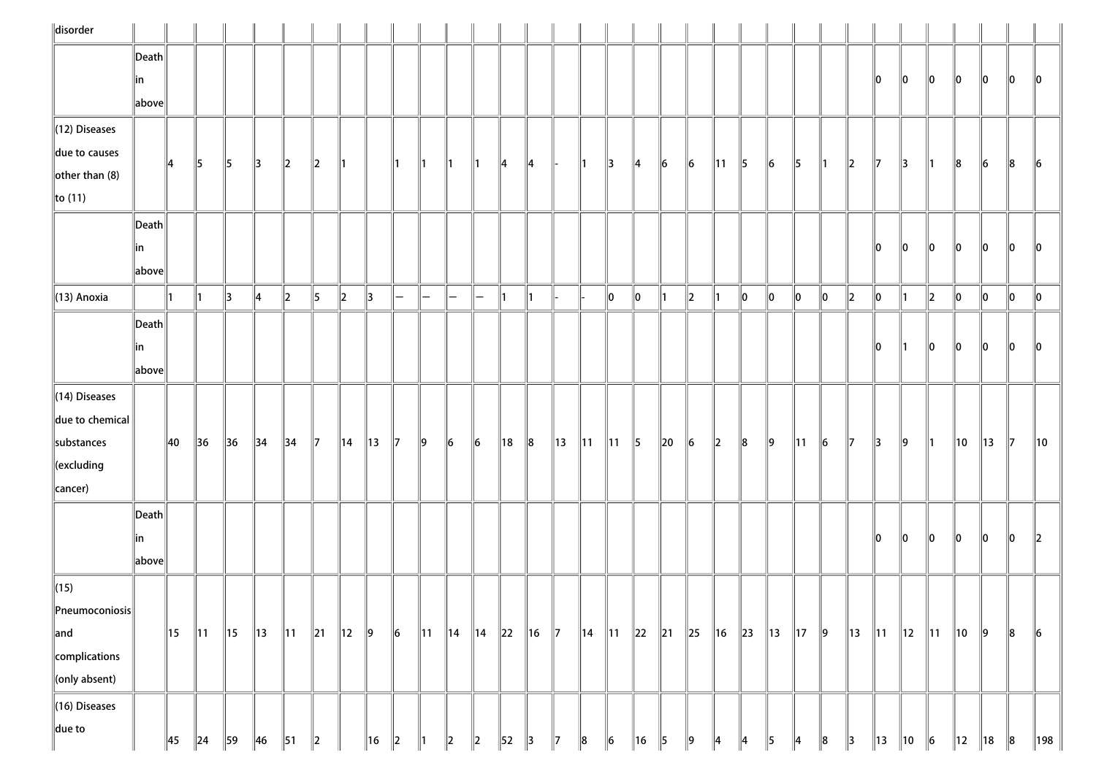| disorder                            |                                        |                |                |                |                |                |        |                |                |           |                |                |           |     |                |               |                |                |               |                |           |             |               |                |                |           |                |                |                |                          |                |                |     |                 |
|-------------------------------------|----------------------------------------|----------------|----------------|----------------|----------------|----------------|--------|----------------|----------------|-----------|----------------|----------------|-----------|-----|----------------|---------------|----------------|----------------|---------------|----------------|-----------|-------------|---------------|----------------|----------------|-----------|----------------|----------------|----------------|--------------------------|----------------|----------------|-----|-----------------|
|                                     | $\left\vert$ Death $\right\vert$       |                |                |                |                |                |        |                |                |           |                |                |           |     |                |               |                |                |               |                |           |             |               |                |                |           |                |                |                |                          |                |                |     |                 |
|                                     | in                                     |                |                |                |                |                |        |                |                |           |                |                |           |     |                |               |                |                |               |                |           |             |               |                |                |           |                | 10             | 110            | llo.                     | 10             | 10             | 10  | 10              |
|                                     | $\ $ above $\ $                        |                |                |                |                |                |        |                |                |           |                |                |           |     |                |               |                |                |               |                |           |             |               |                |                |           |                |                |                |                          |                |                |     |                 |
| $\ $ (12) Diseases                  |                                        |                |                |                |                |                |        |                |                |           |                |                |           |     |                |               |                |                |               |                |           |             |               |                |                |           |                |                |                |                          |                |                |     |                 |
| due to causes                       |                                        | 14             | $\parallel$    | 5              | $\parallel$ 3  | $\ 2\ $        | 2      | 11             |                |           | ∥1             | ∥1             | 11        | ∥4  | 14             |               | $\mathsf{I}$   | $\parallel$ 3  | ∥4            | 16             | 6         | 11          | $\parallel$ 5 | 6              | 15             | ∥1        | $\ 2\ $        | $\parallel$ 7  | 13             | $\parallel$ 1            | 18             | 16             | 8   | 16              |
| other than $(8)$                    |                                        |                |                |                |                |                |        |                |                |           |                |                |           |     |                |               |                |                |               |                |           |             |               |                |                |           |                |                |                |                          |                |                |     |                 |
| $\ $ to (11)                        |                                        |                |                |                |                |                |        |                |                |           |                |                |           |     |                |               |                |                |               |                |           |             |               |                |                |           |                |                |                |                          |                |                |     |                 |
|                                     | $\left\Vert \mathsf{Death}\right\Vert$ |                |                |                |                |                |        |                |                |           |                |                |           |     |                |               |                |                |               |                |           |             |               |                |                |           |                |                |                |                          |                |                |     |                 |
|                                     | in                                     |                |                |                |                |                |        |                |                |           |                |                |           |     |                |               |                |                |               |                |           |             |               |                |                |           |                | llo.           | llo.           | llo.                     | ll0            | ll0            | 10  | 10              |
|                                     | $\ $ above $\ $                        |                |                |                |                |                |        |                |                |           |                |                |           |     |                |               |                |                |               |                |           |             |               |                |                |           |                |                |                |                          |                |                |     |                 |
| (13) Anoxia                         |                                        |                | ∥1             | 13             | 14             | 2              | 15     | 12             | 13             | —         | -              | $\overline{}$  | —         | 11  | $\parallel$ 1  |               |                | llo.           | llo.          |                | 12        |             | 10            | 10             | 10             | 10        | $\ 2\ $        | 10             |                | $\parallel$ <sub>2</sub> | 10             | 10             | 10  | 10              |
|                                     | $\vert$ Death $\vert$                  |                |                |                |                |                |        |                |                |           |                |                |           |     |                |               |                |                |               |                |           |             |               |                |                |           |                |                |                |                          |                |                |     |                 |
|                                     | in                                     |                |                |                |                |                |        |                |                |           |                |                |           |     |                |               |                |                |               |                |           |             |               |                |                |           |                | 10             | $\parallel$ 1  | 10                       | 10             | llo            | 10  | llo             |
|                                     | $\ $ above $\ $                        |                |                |                |                |                |        |                |                |           |                |                |           |     |                |               |                |                |               |                |           |             |               |                |                |           |                |                |                |                          |                |                |     |                 |
| (14) Diseases                       |                                        |                |                |                |                |                |        |                |                |           |                |                |           |     |                |               |                |                |               |                |           |             |               |                |                |           |                |                |                |                          |                |                |     |                 |
| due to chemical                     |                                        |                |                |                |                |                |        |                |                |           |                |                |           |     |                |               |                |                |               |                |           |             |               |                |                |           |                |                |                |                          |                |                |     |                 |
| substances                          |                                        | $\parallel$ 40 | $\parallel$ 36 | 36             | $\parallel$ 34 | $\parallel$ 34 | 17     | $\parallel$ 14 | $\parallel$ 13 | 17        | $\ 9\ $        | $\vert$ 6      | $\vert$ 6 | ∥18 | $\ 8$          | ∥13           | $\parallel$ 11 | $\parallel$ 11 | $\parallel$ 5 | $\ 20\ $       | $\vert$ 6 | $\ 2\ $     | $\ 8$         | $\ 9\ $        | $\parallel$ 11 | $\vert$ 6 | $\mathbb{I}$   | $\parallel$ 3  | $\ 9\ $        | $\parallel$ 1            | $\parallel$ 10 | $\parallel$ 13 | 117 | 10              |
| $\ $ (excluding                     |                                        |                |                |                |                |                |        |                |                |           |                |                |           |     |                |               |                |                |               |                |           |             |               |                |                |           |                |                |                |                          |                |                |     |                 |
| cancer)                             |                                        |                |                |                |                |                |        |                |                |           |                |                |           |     |                |               |                |                |               |                |           |             |               |                |                |           |                |                |                |                          |                |                |     |                 |
|                                     | Death                                  |                |                |                |                |                |        |                |                |           |                |                |           |     |                |               |                |                |               |                |           |             |               |                |                |           |                |                |                |                          |                |                |     |                 |
|                                     | in                                     |                |                |                |                |                |        |                |                |           |                |                |           |     |                |               |                |                |               |                |           |             |               |                |                |           |                | 10             | 10             | llo                      | llo            | 10             | 10  | 12              |
|                                     | $\ $ above $\ $                        |                |                |                |                |                |        |                |                |           |                |                |           |     |                |               |                |                |               |                |           |             |               |                |                |           |                |                |                |                          |                |                |     |                 |
| $\Vert$ (15)                        |                                        |                |                |                |                |                |        |                |                |           |                |                |           |     |                |               |                |                |               |                |           |             |               |                |                |           |                |                |                |                          |                |                |     |                 |
| $\left\ $ Pneumoconiosis $\right\ $ |                                        |                |                |                |                |                |        |                |                |           |                |                |           |     |                |               |                |                |               |                |           |             |               |                |                |           |                |                |                |                          |                |                |     |                 |
| $\parallel$ and                     |                                        | $\parallel$ 15 | $\parallel$ 11 | $\parallel$ 15 | $\parallel$ 13 | $\parallel$ 11 | $\ 21$ | $\parallel$ 12 | $\parallel$ 9  | $\vert$ 6 | $\parallel$ 11 | $\ 14\ 14\ 22$ |           |     | $\parallel$ 16 | $\parallel$ 7 | 14   11   22   |                |               | $\parallel$ 21 | $\ 25\ $  | $\ 16\ $ 23 |               | $\parallel$ 13 | $\parallel$ 17 | $\vert$ 9 | $\parallel$ 13 | $\parallel$ 11 | $\parallel$ 12 | $\parallel$ 11           | $\parallel$ 10 | 9              | ∥8  | $\vert$ 6       |
| complications                       |                                        |                |                |                |                |                |        |                |                |           |                |                |           |     |                |               |                |                |               |                |           |             |               |                |                |           |                |                |                |                          |                |                |     |                 |
| $\ $ (only absent)                  |                                        |                |                |                |                |                |        |                |                |           |                |                |           |     |                |               |                |                |               |                |           |             |               |                |                |           |                |                |                |                          |                |                |     |                 |
| (16) Diseases                       |                                        |                |                |                |                |                |        |                |                |           |                |                |           |     |                |               |                |                |               |                |           |             |               |                |                |           |                |                |                |                          |                |                |     |                 |
| $\parallel$ due to                  |                                        | $\parallel$ 45 | $\parallel$ 24 | 59             | $\parallel$ 46 | $\parallel$ 51 | 12     |                | 16             | 12        |                | 12             | 12        | 52  | 13             |               | 8              | $\vert$ 6      | 16            | 15             | 19        |             |               |                |                |           | 13             | $\parallel$ 13 | ∥10            | 6                        | $\parallel$ 12 | $\parallel$ 18 | 8   | $\parallel$ 198 |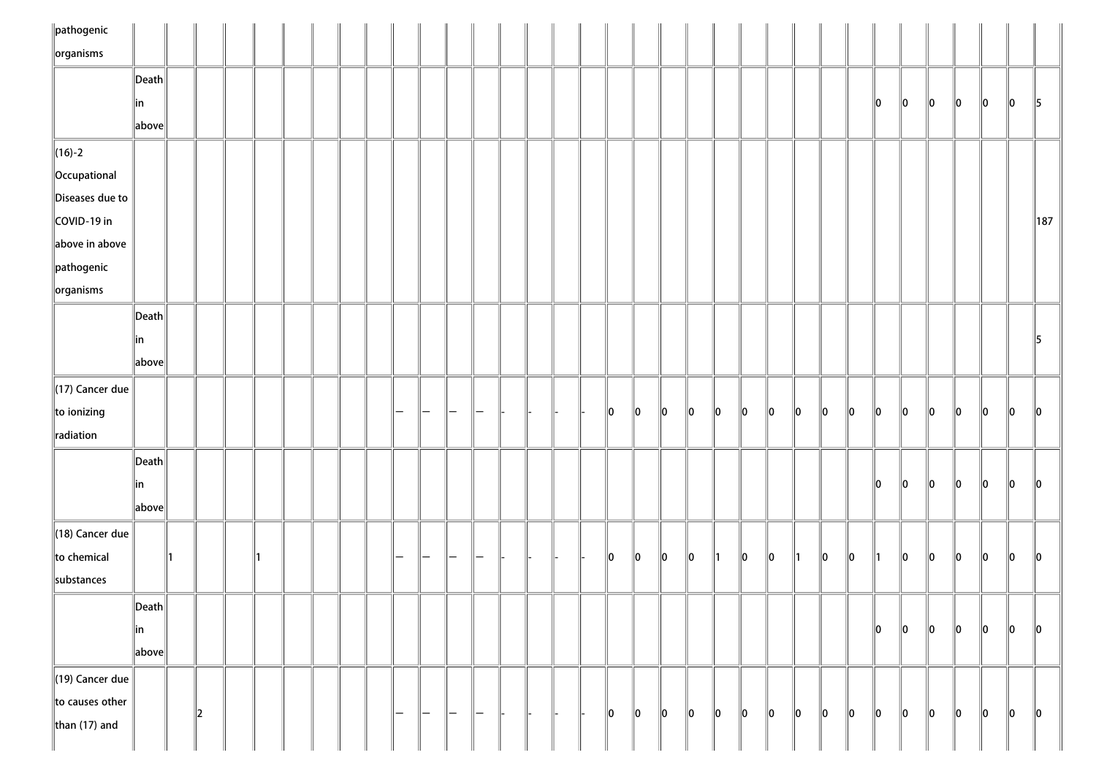| $\ $ pathogenic                 |                       |   |  |  |  |                          |   |               |   |  |  |    |                 |               |      |               |         |         |               |     |     |         |         |         |         |         |         |               |
|---------------------------------|-----------------------|---|--|--|--|--------------------------|---|---------------|---|--|--|----|-----------------|---------------|------|---------------|---------|---------|---------------|-----|-----|---------|---------|---------|---------|---------|---------|---------------|
| $\sqrt{\frac{1}{10}}$ organisms |                       |   |  |  |  |                          |   |               |   |  |  |    |                 |               |      |               |         |         |               |     |     |         |         |         |         |         |         |               |
|                                 | $\ $ Death $\ $       |   |  |  |  |                          |   |               |   |  |  |    |                 |               |      |               |         |         |               |     |     |         |         |         |         |         |         |               |
|                                 | in                    |   |  |  |  |                          |   |               |   |  |  |    |                 |               |      |               |         |         |               |     |     | 10      | $\ 0\ $ | $\ 0\ $ | 10      | 10      | $\ 0\ $ | $\parallel$ 5 |
|                                 | $\ $ above $\ $       |   |  |  |  |                          |   |               |   |  |  |    |                 |               |      |               |         |         |               |     |     |         |         |         |         |         |         |               |
| $\ $ (16)-2                     |                       |   |  |  |  |                          |   |               |   |  |  |    |                 |               |      |               |         |         |               |     |     |         |         |         |         |         |         |               |
| Occupational                    |                       |   |  |  |  |                          |   |               |   |  |  |    |                 |               |      |               |         |         |               |     |     |         |         |         |         |         |         |               |
| Diseases due to                 |                       |   |  |  |  |                          |   |               |   |  |  |    |                 |               |      |               |         |         |               |     |     |         |         |         |         |         |         |               |
| COVID-19 in                     |                       |   |  |  |  |                          |   |               |   |  |  |    |                 |               |      |               |         |         |               |     |     |         |         |         |         |         |         | $\ 187$       |
| above in above                  |                       |   |  |  |  |                          |   |               |   |  |  |    |                 |               |      |               |         |         |               |     |     |         |         |         |         |         |         |               |
| pathogenic                      |                       |   |  |  |  |                          |   |               |   |  |  |    |                 |               |      |               |         |         |               |     |     |         |         |         |         |         |         |               |
| $\left\Vert$ organisms          |                       |   |  |  |  |                          |   |               |   |  |  |    |                 |               |      |               |         |         |               |     |     |         |         |         |         |         |         |               |
|                                 | $\ $ Death $\ $       |   |  |  |  |                          |   |               |   |  |  |    |                 |               |      |               |         |         |               |     |     |         |         |         |         |         |         |               |
|                                 | ∥in                   |   |  |  |  |                          |   |               |   |  |  |    |                 |               |      |               |         |         |               |     |     |         |         |         |         |         |         | 15            |
|                                 | $\ $ above $\ $       |   |  |  |  |                          |   |               |   |  |  |    |                 |               |      |               |         |         |               |     |     |         |         |         |         |         |         |               |
| $\ $ (17) Cancer due            |                       |   |  |  |  |                          |   |               |   |  |  |    |                 |               |      |               |         |         |               |     |     |         |         |         |         |         |         |               |
| to ionizing                     |                       |   |  |  |  |                          |   |               |   |  |  | 10 | $\mathsf{I}$ lo | 10            | 10   | 10            | $\ 0\ $ | 10      | 10            | llo | 10  | $\ 0\ $ | 10      | 10      | 10      | 10      | 10      | $\parallel$ 0 |
| radiation                       |                       |   |  |  |  |                          |   |               |   |  |  |    |                 |               |      |               |         |         |               |     |     |         |         |         |         |         |         |               |
|                                 | $\ $ Death $\ $       |   |  |  |  |                          |   |               |   |  |  |    |                 |               |      |               |         |         |               |     |     |         |         |         |         |         |         |               |
|                                 |                       |   |  |  |  |                          |   |               |   |  |  |    |                 |               |      |               |         |         |               |     |     | 10      | $\ 0\ $ | $\ 0\ $ | $\ 0\ $ | 10      | $\ 0\ $ |               |
|                                 | in<br>$\ $ above $\ $ |   |  |  |  |                          |   |               |   |  |  |    |                 |               |      |               |         |         |               |     |     |         |         |         |         |         |         | $\parallel$ 0 |
|                                 |                       |   |  |  |  |                          |   |               |   |  |  |    |                 |               |      |               |         |         |               |     |     |         |         |         |         |         |         |               |
| $\parallel$ (18) Cancer due     |                       |   |  |  |  |                          |   |               |   |  |  |    |                 |               |      |               |         |         |               |     |     |         |         |         |         |         |         |               |
| to chemical                     |                       |   |  |  |  |                          |   |               |   |  |  | 10 | $\mathsf{I}$ lo | 110           | llo. | $\parallel$ 1 | 10      | llo     | $\parallel$ 1 | llo | llo | 11      | 10      | llo     | 10      | 10      | 10      | $ 0\rangle$   |
| substances                      |                       |   |  |  |  |                          |   |               |   |  |  |    |                 |               |      |               |         |         |               |     |     |         |         |         |         |         |         |               |
|                                 | $\ $ Death $\ $       |   |  |  |  |                          |   |               |   |  |  |    |                 |               |      |               |         |         |               |     |     |         |         |         |         |         |         |               |
|                                 | in                    |   |  |  |  |                          |   |               |   |  |  |    |                 |               |      |               |         |         |               |     |     | 10      | $\ 0\ $ | 10      | 10      | 10      | $\ 0\ $ | $ 0\rangle$   |
|                                 | $\ $ above $\ $       |   |  |  |  |                          |   |               |   |  |  |    |                 |               |      |               |         |         |               |     |     |         |         |         |         |         |         |               |
| $\ $ (19) Cancer due            |                       |   |  |  |  |                          |   |               |   |  |  |    |                 |               |      |               |         |         |               |     |     |         |         |         |         |         |         |               |
| to causes other                 |                       | 2 |  |  |  | $\overline{\phantom{0}}$ | — | $\overline{}$ | - |  |  | 10 | $\parallel$ 0   | $\parallel$ 0 | 10   | 10            | $\ 0\ $ | $\ 0\ $ | 10            | 10  | 10  | $\ 0\ $ | $\ 0\ $ | $\ 0\ $ | 10      | $\ 0\ $ | $\ 0\ $ | $\ 0\ $       |
| than $(17)$ and                 |                       |   |  |  |  |                          |   |               |   |  |  |    |                 |               |      |               |         |         |               |     |     |         |         |         |         |         |         |               |
|                                 |                       |   |  |  |  |                          |   |               |   |  |  |    |                 |               |      |               |         |         |               |     |     |         |         |         |         |         |         |               |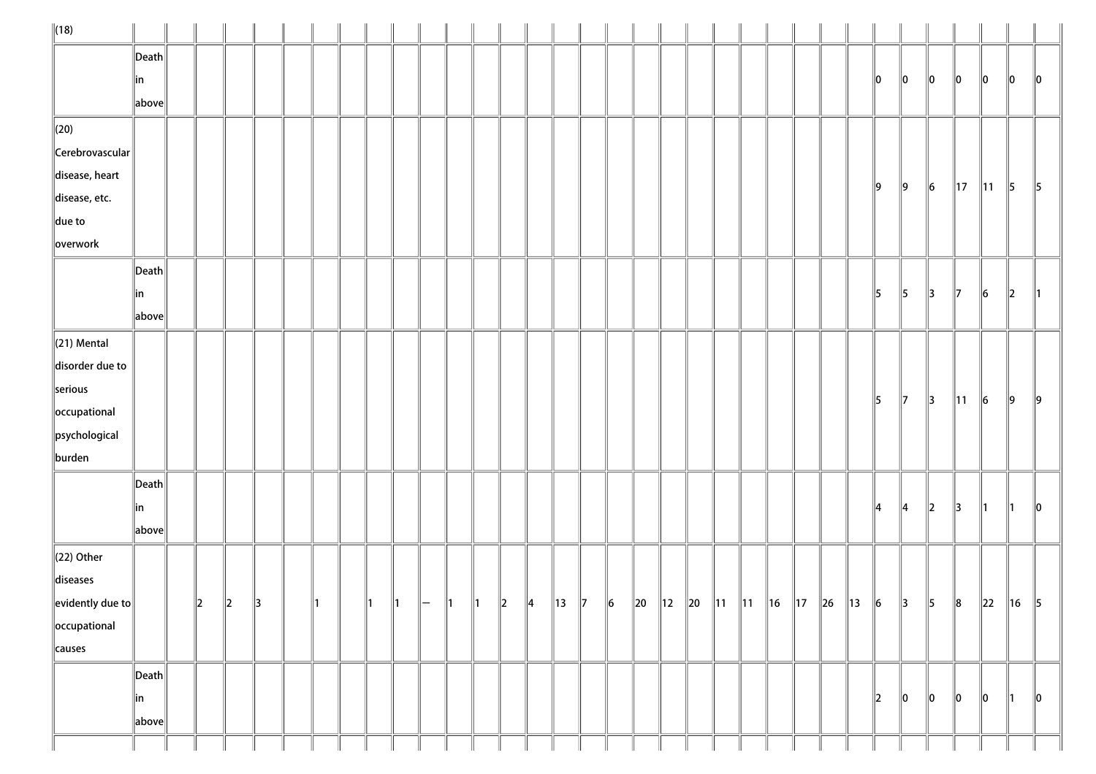| $\ $ (18)                                   |                 |             |             |     |     |    |    |                          |               |               |               |              |  |           |  |                                                        |  |  |               |               |               |                |                |               |         |
|---------------------------------------------|-----------------|-------------|-------------|-----|-----|----|----|--------------------------|---------------|---------------|---------------|--------------|--|-----------|--|--------------------------------------------------------|--|--|---------------|---------------|---------------|----------------|----------------|---------------|---------|
|                                             | $\ $ Death $\ $ |             |             |     |     |    |    |                          |               |               |               |              |  |           |  |                                                        |  |  |               |               |               |                |                |               |         |
|                                             | ∥in             |             |             |     |     |    |    |                          |               |               |               |              |  |           |  |                                                        |  |  | 10            | 10            | $\parallel$ 0 | 10             | 10             | 10            | 10      |
|                                             | $\ $ above $\ $ |             |             |     |     |    |    |                          |               |               |               |              |  |           |  |                                                        |  |  |               |               |               |                |                |               |         |
| $\parallel$ (20)                            |                 |             |             |     |     |    |    |                          |               |               |               |              |  |           |  |                                                        |  |  |               |               |               |                |                |               |         |
| Cerebrovascular                             |                 |             |             |     |     |    |    |                          |               |               |               |              |  |           |  |                                                        |  |  |               |               |               |                |                |               |         |
| disease, heart                              |                 |             |             |     |     |    |    |                          |               |               |               |              |  |           |  |                                                        |  |  | 19            | $\parallel$ 9 | $\vert$ 6     | $\parallel$ 17 | $\parallel$ 11 | $\parallel$ 5 | 5       |
| disease, etc.                               |                 |             |             |     |     |    |    |                          |               |               |               |              |  |           |  |                                                        |  |  |               |               |               |                |                |               |         |
| $\ $ due to                                 |                 |             |             |     |     |    |    |                          |               |               |               |              |  |           |  |                                                        |  |  |               |               |               |                |                |               |         |
| $\ $ overwork                               |                 |             |             |     |     |    |    |                          |               |               |               |              |  |           |  |                                                        |  |  |               |               |               |                |                |               |         |
|                                             | $\ $ Death $\ $ |             |             |     |     |    |    |                          |               |               |               |              |  |           |  |                                                        |  |  |               |               |               |                |                |               |         |
|                                             | ∥in             |             |             |     |     |    |    |                          |               |               |               |              |  |           |  |                                                        |  |  | 15            | 5             | $\parallel$ 3 | 17             | 6              | $\ 2\ $       |         |
|                                             | above           |             |             |     |     |    |    |                          |               |               |               |              |  |           |  |                                                        |  |  |               |               |               |                |                |               |         |
| $\ $ (21) Mental                            |                 |             |             |     |     |    |    |                          |               |               |               |              |  |           |  |                                                        |  |  |               |               |               |                |                |               |         |
| disorder due to                             |                 |             |             |     |     |    |    |                          |               |               |               |              |  |           |  |                                                        |  |  |               |               |               |                |                |               |         |
| serious                                     |                 |             |             |     |     |    |    |                          |               |               |               |              |  |           |  |                                                        |  |  | 15            | $\mathbb{I}$  | $\parallel$ 3 | $\parallel$ 11 | $\vert$ 6      | ∥9            | ∥9      |
| $\left\ $ occupational                      |                 |             |             |     |     |    |    |                          |               |               |               |              |  |           |  |                                                        |  |  |               |               |               |                |                |               |         |
| $\left\ $ psychological                     |                 |             |             |     |     |    |    |                          |               |               |               |              |  |           |  |                                                        |  |  |               |               |               |                |                |               |         |
| burden                                      |                 |             |             |     |     |    |    |                          |               |               |               |              |  |           |  |                                                        |  |  |               |               |               |                |                |               |         |
|                                             | $\ $ Death $\ $ |             |             |     |     |    |    |                          |               |               |               |              |  |           |  |                                                        |  |  |               |               |               |                |                |               |         |
|                                             | ∥in             |             |             |     |     |    |    |                          |               |               |               |              |  |           |  |                                                        |  |  | 14            | ∥4            | $\ 2\ $       | 13             |                |               | 10      |
|                                             | above           |             |             |     |     |    |    |                          |               |               |               |              |  |           |  |                                                        |  |  |               |               |               |                |                |               |         |
| $(22)$ Other                                |                 |             |             |     |     |    |    |                          |               |               |               |              |  |           |  |                                                        |  |  |               |               |               |                |                |               |         |
| diseases                                    |                 |             |             |     |     |    |    |                          |               |               |               |              |  |           |  |                                                        |  |  |               |               |               |                |                |               |         |
| $\left\Vert$ evidently due to $\right\Vert$ |                 | $\parallel$ | $\parallel$ | ∥з. | 11. | ∥1 | ∥1 | $\overline{\phantom{0}}$ | $\parallel$ 1 | $\parallel$ 1 | $\parallel$ 2 | $\ 4\ $ 13 7 |  | $\vert$ 6 |  | 20   12   20   11   11   16   17   26   13   6   3   5 |  |  |               |               |               | $\ 8$          | $\ 22\ 16\ 5$  |               |         |
| occupational                                |                 |             |             |     |     |    |    |                          |               |               |               |              |  |           |  |                                                        |  |  |               |               |               |                |                |               |         |
| causes                                      |                 |             |             |     |     |    |    |                          |               |               |               |              |  |           |  |                                                        |  |  |               |               |               |                |                |               |         |
|                                             | $\ $ Death $\ $ |             |             |     |     |    |    |                          |               |               |               |              |  |           |  |                                                        |  |  |               |               |               |                |                |               |         |
|                                             | ∥in             |             |             |     |     |    |    |                          |               |               |               |              |  |           |  |                                                        |  |  | $\parallel$ 2 | $\ 0\ $       | $\ 0\ $       | 10             | 10             | ∥1            | $\ 0\ $ |
|                                             | $\ $ above $\ $ |             |             |     |     |    |    |                          |               |               |               |              |  |           |  |                                                        |  |  |               |               |               |                |                |               |         |
|                                             |                 |             |             |     |     |    |    |                          |               |               |               |              |  |           |  |                                                        |  |  |               |               |               |                |                |               |         |